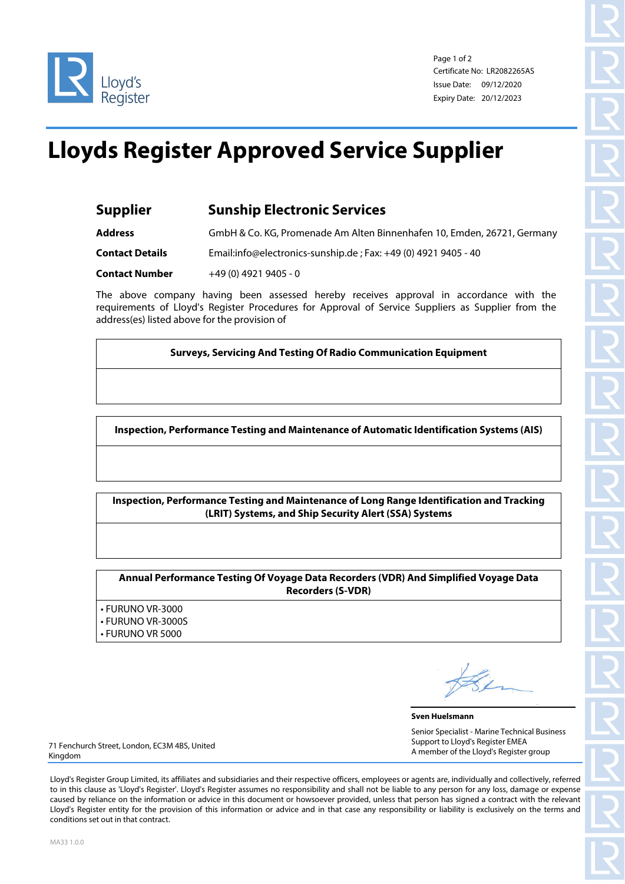

Page 1 of 2 Certificate No: LR2082265AS Issue Date: 09/12/2020 Expiry Date: 20/12/2023

## **Lloyds Register Approved Service Supplier**

| <b>Supplier</b>        | <b>Sunship Electronic Services</b>                                      |
|------------------------|-------------------------------------------------------------------------|
| <b>Address</b>         | GmbH & Co. KG, Promenade Am Alten Binnenhafen 10, Emden, 26721, Germany |
| <b>Contact Details</b> | Email:info@electronics-sunship.de ; Fax: +49 (0) 4921 9405 - 40         |
| <b>Contact Number</b>  | $+49(0)$ 4921 9405 - 0                                                  |

The above company having been assessed hereby receives approval in accordance with the requirements of Lloyd's Register Procedures for Approval of Service Suppliers as Supplier from the address(es) listed above for the provision of

**Surveys, Servicing And Testing Of Radio Communication Equipment**

**Inspection, Performance Testing and Maintenance of Automatic Identification Systems (AIS)**

**Inspection, Performance Testing and Maintenance of Long Range Identification and Tracking (LRIT) Systems, and Ship Security Alert (SSA) Systems**

**Annual Performance Testing Of Voyage Data Recorders (VDR) And Simplified Voyage Data Recorders (S-VDR)**

- FURUNO VR-3000
- FURUNO VR-3000S
- FURUNO VR 5000

**Sven Huelsmann** Senior Specialist - Marine Technical Business Support to Lloyd's Register EMEA A member of the Lloyd's Register group

71 Fenchurch Street, London, EC3M 4BS, United Kingdom

Lloyd's Register Group Limited, its affiliates and subsidiaries and their respective officers, employees or agents are, individually and collectively, referred to in this clause as 'Lloyd's Register'. Lloyd's Register assumes no responsibility and shall not be liable to any person for any loss, damage or expense caused by reliance on the information or advice in this document or howsoever provided, unless that person has signed a contract with the relevant Lloyd's Register entity for the provision of this information or advice and in that case any responsibility or liability is exclusively on the terms and conditions set out in that contract.